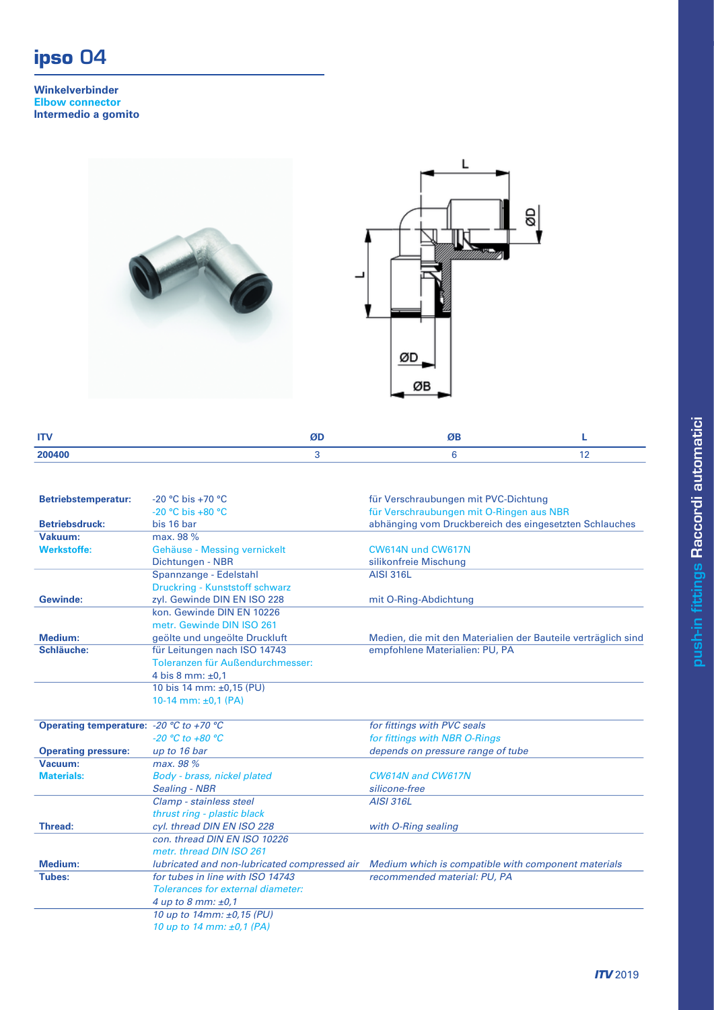## **ipso** 04

**Winkelverbinder Elbow connector Intermedio a gomito**



| . .    | ØD | XI |  |
|--------|----|----|--|
| 200400 |    |    |  |

| <b>Betriebstemperatur:</b>                                | $-20$ °C bis $+70$ °C                               | für Verschraubungen mit PVC-Dichtung                               |
|-----------------------------------------------------------|-----------------------------------------------------|--------------------------------------------------------------------|
|                                                           | $-20$ °C bis $+80$ °C                               | für Verschraubungen mit O-Ringen aus NBR                           |
| <b>Betriebsdruck:</b>                                     | bis 16 bar                                          | abhänging vom Druckbereich des eingesetzten Schlauches             |
| Vakuum:                                                   | max. 98 %                                           |                                                                    |
| <b>Werkstoffe:</b>                                        | <b>Gehäuse - Messing vernickelt</b>                 | CW614N und CW617N                                                  |
|                                                           | Dichtungen - NBR                                    | silikonfreie Mischung                                              |
|                                                           | Spannzange - Edelstahl                              | <b>AISI 316L</b>                                                   |
|                                                           | <b>Druckring - Kunststoff schwarz</b>               |                                                                    |
| <b>Gewinde:</b>                                           | zyl. Gewinde DIN EN ISO 228                         | mit O-Ring-Abdichtung                                              |
|                                                           | kon. Gewinde DIN EN 10226                           |                                                                    |
|                                                           | metr. Gewinde DIN ISO 261                           |                                                                    |
| Medium:                                                   | geölte und ungeölte Druckluft                       | Medien, die mit den Materialien der Bauteile verträglich sind      |
| Schläuche:                                                | für Leitungen nach ISO 14743                        | empfohlene Materialien: PU, PA                                     |
|                                                           | Toleranzen für Außendurchmesser:                    |                                                                    |
|                                                           | 4 bis 8 mm: $±0.1$                                  |                                                                    |
|                                                           | 10 bis 14 mm: ±0.15 (PU)                            |                                                                    |
|                                                           | 10-14 mm: $\pm 0.1$ (PA)                            |                                                                    |
|                                                           |                                                     |                                                                    |
| Operating temperature: -20 $\degree$ C to +70 $\degree$ C | $-20 °C$ to $+80 °C$                                | for fittings with PVC seals                                        |
|                                                           | up to 16 bar                                        | for fittings with NBR O-Rings<br>depends on pressure range of tube |
| <b>Operating pressure:</b><br>Vacuum:                     | max. 98 %                                           |                                                                    |
| <b>Materials:</b>                                         |                                                     | CW614N and CW617N                                                  |
|                                                           | Body - brass, nickel plated<br><b>Sealing - NBR</b> | silicone-free                                                      |
|                                                           | Clamp - stainless steel                             | <b>AISI 316L</b>                                                   |
|                                                           | thrust ring - plastic black                         |                                                                    |
| <b>Thread:</b>                                            | cvl. thread DIN EN ISO 228                          | with O-Ring sealing                                                |
|                                                           | con, thread DIN EN ISO 10226                        |                                                                    |
|                                                           | metr. thread DIN ISO 261                            |                                                                    |
| Medium:                                                   | lubricated and non-lubricated compressed air        | Medium which is compatible with component materials                |
| Tubes:                                                    | for tubes in line with ISO 14743                    | recommended material: PU, PA                                       |
|                                                           | <b>Tolerances for external diameter:</b>            |                                                                    |
|                                                           | 4 up to 8 mm: $±0,1$                                |                                                                    |
|                                                           | 10 up to 14mm: ±0,15 (PU)                           |                                                                    |
|                                                           | 10 up to 14 mm: $\pm 0.1$ (PA)                      |                                                                    |
|                                                           |                                                     |                                                                    |